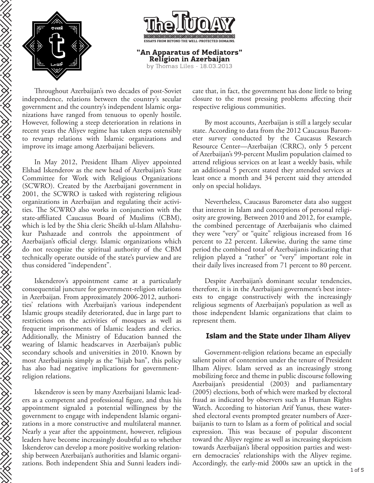

**SERVICE** 

 $\frac{1}{2}$ 

**SERVICE SERVICE** 



Throughout Azerbaijan's two decades of post-Soviet independence, relations between the country's secular government and the country's independent Islamic organizations have ranged from tenuous to openly hostile. However, following a steep deterioration in relations in recent years the Aliyev regime has taken steps ostensibly to revamp relations with Islamic organizations and improve its image among Azerbaijani believers.

In May 2012, President Ilham Aliyev appointed Elshad Iskenderov as the new head of Azerbaijan's State Committee for Work with Religious Organizations (SCWRO). Created by the Azerbaijani government in 2001, the SCWRO is tasked with registering religious organizations in Azerbaijan and regulating their activities. The SCWRO also works in conjunction with the state-affiliated Caucasus Board of Muslims (CBM), which is led by the Shia cleric Sheikh ul-Islam Allahshukur Pashazade and controls the appointment of Azerbaijan's official clergy. Islamic organizations which do not recognize the spiritual authority of the CBM technically operate outside of the state's purview and are thus considered "independent".

Iskenderov's appointment came at a particularly consequential juncture for government-religion relations in Azerbaijan. From approximately 2006-2012, authorities' relations with Azerbaijan's various independent Islamic groups steadily deteriorated, due in large part to restrictions on the activities of mosques as well as frequent imprisonments of Islamic leaders and clerics. Additionally, the Ministry of Education banned the wearing of Islamic headscarves in Azerbaijan's public secondary schools and universities in 2010. Known by most Azerbaijanis simply as the "hijab ban", this policy has also had negative implications for governmentreligion relations.

Iskenderov is seen by many Azerbaijani Islamic leaders as a competent and professional figure, and thus his appointment signaled a potential willingness by the government to engage with independent Islamic organizations in a more constructive and multilateral manner. Nearly a year after the appointment, however, religious leaders have become increasingly doubtful as to whether Iskenderov can develop a more positive working relationship between Azerbaijan's authorities and Islamic organizations. Both independent Shia and Sunni leaders indicate that, in fact, the government has done little to bring closure to the most pressing problems affecting their respective religious communities.

By most accounts, Azerbaijan is still a largely secular state. According to data from the 2012 Caucasus Barometer survey conducted by the Caucasus Research Resource Center—Azerbaijan (CRRC), only 5 percent of Azerbaijan's 99-percent Muslim population claimed to attend religious services on at least a weekly basis, while an additional 5 percent stated they attended services at least once a month and 34 percent said they attended only on special holidays.

Nevertheless, Caucasus Barometer data also suggest that interest in Islam and conceptions of personal religiosity are growing. Between 2010 and 2012, for example, the combined percentage of Azerbaijanis who claimed they were "very" or "quite" religious increased from 16 percent to 22 percent. Likewise, during the same time period the combined total of Azerbaijanis indicating that religion played a "rather" or "very" important role in their daily lives increased from 71 percent to 80 percent.

Despite Azerbaijan's dominant secular tendencies, therefore, it is in the Azerbaijani government's best interests to engage constructively with the increasingly religious segments of Azerbaijan's population as well as those independent Islamic organizations that claim to represent them.

## **Islam and the State under Ilham Aliyev**

Government-religion relations became an especially salient point of contention under the tenure of President Ilham Aliyev. Islam served as an increasingly strong mobilizing force and theme in public discourse following Azerbaijan's presidential (2003) and parliamentary (2005) elections, both of which were marked by electoral fraud as indicated by observers such as Human Rights Watch. According to historian Arif Yunus, these watershed electoral events prompted greater numbers of Azerbaijanis to turn to Islam as a form of political and social expression. This was because of popular discontent toward the Aliyev regime as well as increasing skepticism towards Azerbaijan's liberal opposition parties and western democracies' relationships with the Aliyev regime. Accordingly, the early-mid 2000s saw an uptick in the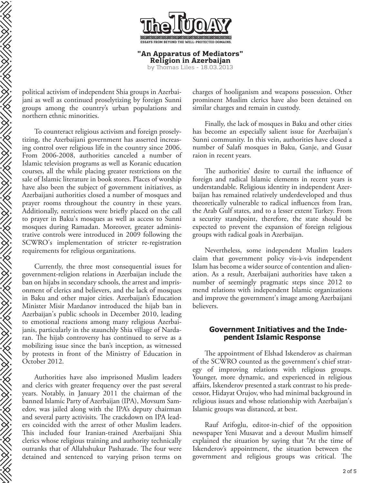

**"An Apparatus of Mediators" Religion in Azerbaijan** by Thomas Liles -  $18.03.2013$ 

political activism of independent Shia groups in Azerbaijani as well as continued proselytizing by foreign Sunni groups among the country's urban populations and northern ethnic minorities.

To counteract religious activism and foreign proselytizing, the Azerbaijani government has asserted increasing control over religious life in the country since 2006. From 2006-2008, authorities canceled a number of Islamic television programs as well as Koranic education courses, all the while placing greater restrictions on the sale of Islamic literature in book stores. Places of worship have also been the subject of government initiatives, as Azerbaijani authorities closed a number of mosques and prayer rooms throughout the country in these years. Additionally, restrictions were briefly placed on the call to prayer in Baku's mosques as well as access to Sunni mosques during Ramadan. Moreover, greater administrative controls were introduced in 2009 following the SCWRO's implementation of stricter re-registration requirements for religious organizations.

Currently, the three most consequential issues for government-religion relations in Azerbaijan include the ban on hijabs in secondary schools, the arrest and imprisonment of clerics and believers, and the lack of mosques in Baku and other major cities. Azerbaijan's Education Minister Misir Mardanov introduced the hijab ban in Azerbaijan's public schools in December 2010, leading to emotional reactions among many religious Azerbaijanis, particularly in the staunchly Shia village of Nardaran. The hijab controversy has continued to serve as a mobilizing issue since the ban's inception, as witnessed by protests in front of the Ministry of Education in October 2012.

EN EN EN EN EN EEN DE STAANDE HET DE STAANDE HET DE STAANDE HET DE STAANDE HET DE STAANDE HET DE STAANDE HET D

Authorities have also imprisoned Muslim leaders and clerics with greater frequency over the past several years. Notably, in January 2011 the chairman of the banned Islamic Party of Azerbaijan (IPA), Movsum Samedov, was jailed along with the IPA's deputy chairman and several party activisits. The crackdown on IPA leaders coincided with the arrest of other Muslim leaders. This included four Iranian-trained Azerbaijani Shia clerics whose religious training and authority technically outranks that of Allahshukur Pashazade. The four were detained and sentenced to varying prison terms on

charges of hooliganism and weapons possession. Other prominent Muslim clerics have also been detained on similar charges and remain in custody.

Finally, the lack of mosques in Baku and other cities has become an especially salient issue for Azerbaijan's Sunni community. In this vein, authorities have closed a number of Salafi mosques in Baku, Ganje, and Gusar raion in recent years.

The authorities' desire to curtail the influence of foreign and radical Islamic elements in recent years is understandable. Religious identity in independent Azerbaijan has remained relatively underdeveloped and thus theoretically vulnerable to radical influences from Iran, the Arab Gulf states, and to a lesser extent Turkey. From a security standpoint, therefore, the state should be expected to prevent the expansion of foreign religious groups with radical goals in Azerbaijan.

Nevertheless, some independent Muslim leaders claim that government policy vis-à-vis independent Islam has become a wider source of contention and alienation. As a result, Azerbaijani authorities have taken a number of seemingly pragmatic steps since 2012 to mend relations with independent Islamic organizations and improve the government's image among Azerbaijani believers.

## **Government Initiatives and the Independent Islamic Response**

The appointment of Elshad Iskenderov as chairman of the SCWRO counted as the government's chief strategy of improving relations with religious groups. Younger, more dynamic, and experienced in religious affairs, Iskenderov presented a stark contrast to his predecessor, Hidayat Orujov, who had minimal background in religious issues and whose relationship with Azerbaijan's Islamic groups was distanced, at best.

Rauf Arifoglu, editor-in-chief of the opposition newspaper Yeni Musavat and a devout Muslim himself explained the situation by saying that "At the time of Iskenderov's appointment, the situation between the government and religious groups was critical. The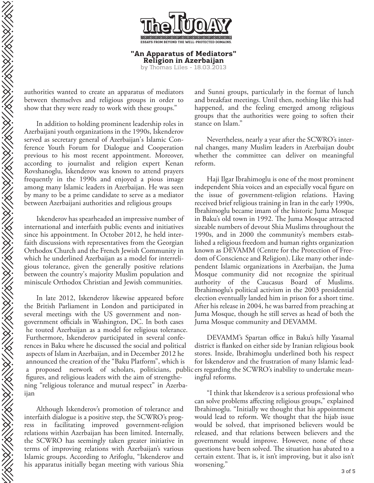**"An Apparatus of Mediators" Religion in Azerbaijan** by Thomas Liles - 18.03.2013

authorities wanted to create an apparatus of mediators between themselves and religious groups in order to show that they were ready to work with these groups."

In addition to holding prominent leadership roles in Azerbaijani youth organizations in the 1990s, Iskenderov served as secretary general of Azerbaijan's Islamic Conference Youth Forum for Dialogue and Cooperation previous to his most recent appointment. Moreover, according to journalist and religion expert Kenan Rovshanoglu, Iskenderov was known to attend prayers frequently in the 1990s and enjoyed a pious image among many Islamic leaders in Azerbaijan. He was seen by many to be a prime candidate to serve as a mediator between Azerbaijani authorities and religious groups

Iskenderov has spearheaded an impressive number of international and interfaith public events and initiatives since his appointment. In October 2012, he held interfaith discussions with representatives from the Georgian Orthodox Church and the French Jewish Community in which he underlined Azerbaijan as a model for interreligious tolerance, given the generally positive relations between the country's majority Muslim population and miniscule Orthodox Christian and Jewish communities.

In late 2012, Iskenderov likewise appeared before the British Parliament in London and participated in several meetings with the US government and nongovernment officials in Washington, DC. In both cases he touted Azerbaijan as a model for religious tolerance. Furthermore, Iskenderov participated in several conferences in Baku where he discussed the social and political aspects of Islam in Azerbaijan, and in December 2012 he announced the creation of the "Baku Platform", which is a proposed network of scholars, politicians, public ers regarding the SCWRO's inability to undertake meanfigures, and religious leaders with the aim of strengthening "religious tolerance and mutual respect" in Azerbaijan

Although Iskenderov's promotion of tolerance and interfaith dialogue is a positive step, the SCWRO's progress in facilitating improved government-religion relations within Azerbaijan has been limited. Internally, the SCWRO has seemingly taken greater initiative in terms of improving relations with Azerbaijan's various Islamic groups. According to Arifoglu, "Iskenderov and his apparatus initially began meeting with various Shia

and Sunni groups, particularly in the format of lunch and breakfast meetings. Until then, nothing like this had happened, and the feeling emerged among religious groups that the authorities were going to soften their stance on Islam."

Nevertheless, nearly a year after the SCWRO's internal changes, many Muslim leaders in Azerbaijan doubt whether the committee can deliver on meaningful reform.

Haji Ilgar Ibrahimoglu is one of the most prominent independent Shia voices and an especially vocal figure on the issue of government-religion relations. Having received brief religious training in Iran in the early 1990s, Ibrahimoglu became imam of the historic Juma Mosque in Baku's old town in 1992. The Juma Mosque attracted sizeable numbers of devout Shia Muslims throughout the 1990s, and in 2000 the community's members established a religious freedom and human rights organization known as DEVAMM (Centre for the Protection of Freedom of Conscience and Religion). Like many other independent Islamic organizations in Azerbaijan, the Juma Mosque community did not recognize the spiritual authority of the Caucasus Board of Muslims. Ibrahimoglu's political activism in the 2003 presidential election eventually landed him in prison for a short time. After his release in 2004, he was barred from preaching at Juma Mosque, though he still serves as head of both the Juma Mosque community and DEVAMM.

DEVAMM's Spartan office in Baku's hilly Yasamal district is flanked on either side by Iranian religious book stores. Inside, Ibrahimoglu underlined both his respect for Iskenderov and the frustration of many Islamic leadingful reforms.

"I think that Iskenderov is a serious professional who can solve problems affecting religious groups," explained Ibrahimoglu. "Initially we thought that his appointment would lead to reform. We thought that the hijab issue would be solved, that imprisoned believers would be released, and that relations between believers and the government would improve. However, none of these questions have been solved. The situation has abated to a certain extent. That is, it isn't improving, but it also isn't worsening."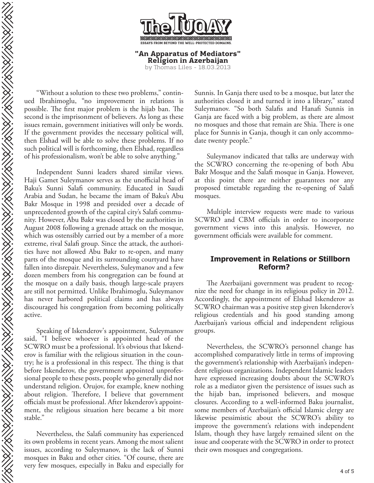

**"An Apparatus of Mediators" Religion in Azerbaijan** by Thomas Liles - 18.03.2013

"Without a solution to these two problems," continued Ibrahimoglu, "no improvement in relations is possible. The first major problem is the hijab ban. The second is the imprisonment of believers. As long as these issues remain, government initiatives will only be words. If the government provides the necessary political will, then Elshad will be able to solve these problems. If no such political will is forthcoming, then Elshad, regardless of his professionalism, won't be able to solve anything."

Independent Sunni leaders shared similar views. Haji Gamet Suleymanov serves as the unofficial head of Baku's Sunni Salafi community. Educated in Saudi Arabia and Sudan, he became the imam of Baku's Abu Bakr Mosque in 1998 and presided over a decade of unprecedented growth of the capital city's Salafi community. However, Abu Bakr was closed by the authorities in August 2008 following a grenade attack on the mosque, which was ostensibly carried out by a member of a more extreme, rival Salafi group. Since the attack, the authorities have not allowed Abu Bakr to re-open, and many parts of the mosque and its surrounding courtyard have fallen into disrepair. Nevertheless, Suleymanov and a few dozen members from his congregation can be found at the mosque on a daily basis, though large-scale prayers are still not permitted. Unlike Ibrahimoglu, Suleymanov has never harbored political claims and has always discouraged his congregation from becoming politically active.

Speaking of Iskenderov's appointment, Suleymanov said, "I believe whoever is appointed head of the SCWRO must be a professional. It's obvious that Iskenderov is familiar with the religious situation in the country; he is a professional in this respect. The thing is that before Iskenderov, the government appointed unprofessional people to these posts, people who generally did not understand religion. Orujov, for example, knew nothing about religion. Therefore, I believe that government officials must be professional. After Iskenderov's appointment, the religious situation here became a bit more stable."

Nevertheless, the Salafi community has experienced its own problems in recent years. Among the most salient issues, according to Suleymanov, is the lack of Sunni mosques in Baku and other cities. "Of course, there are very few mosques, especially in Baku and especially for

Sunnis. In Ganja there used to be a mosque, but later the authorities closed it and turned it into a library," stated Suleymanov. "So both Salafis and Hanafi Sunnis in Ganja are faced with a big problem, as there are almost no mosques and those that remain are Shia. There is one place for Sunnis in Ganja, though it can only accommodate twenty people."

Suleymanov indicated that talks are underway with the SCWRO concerning the re-opening of both Abu Bakr Mosque and the Salafi mosque in Ganja. However, at this point there are neither guarantees nor any proposed timetable regarding the re-opening of Sala mosques.

Multiple interview requests were made to various SCWRO and CBM officials in order to incorporate government views into this analysis. However, no government officials were available for comment.

## **Improvement in Relations or Stillborn Reform?**

The Azerbaijani government was prudent to recognize the need for change in its religious policy in 2012. Accordingly, the appointment of Elshad Iskenderov as SCWRO chairman was a positive step given Iskenderov's religious credentials and his good standing among Azerbaijan's various official and independent religious groups.

Nevertheless, the SCWRO's personnel change has accomplished comparatively little in terms of improving the government's relationship with Azerbaijan's independent religious organizations. Independent Islamic leaders have expressed increasing doubts about the SCWRO's role as a mediator given the persistence of issues such as the hijab ban, imprisoned believers, and mosque closures. According to a well-informed Baku journalist, some members of Azerbaijan's official Islamic clergy are likewise pessimistic about the SCWRO's ability to improve the government's relations with independent Islam, though they have largely remained silent on the issue and cooperate with the SCWRO in order to protect their own mosques and congregations.